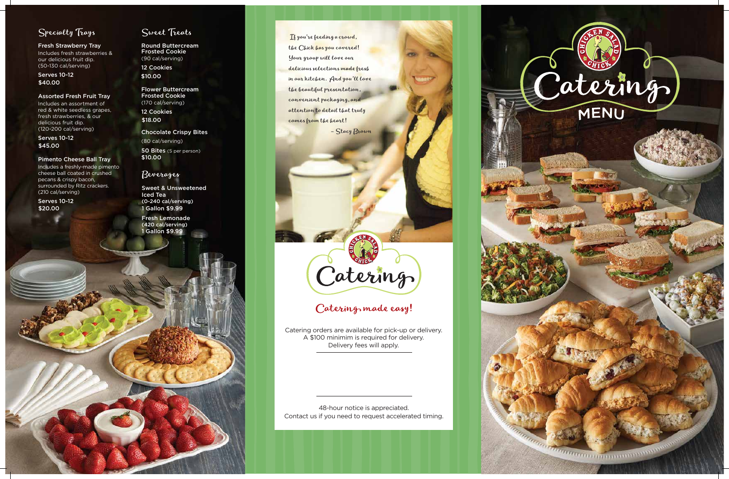

<u>Galantino de la propie de la propie de la propie de la propie de la propie de la propie de la propie de la propie de la propie de la propie de la propie de la propie de la propie de la propie de la propie de la propie de </u>

## Specialty Trays

Fresh Strawberry Tray Includes fresh strawberries & our delicious fruit dip. (50-130 cal/serving)

#### Assorted Fresh Fruit Tray

Includes an assortment of red & white seedless grapes, fresh strawberries, & our delicious fruit dip. (120-200 cal/serving)

#### Pimento Cheese Ball Tray

Includes a freshly-made pimento cheese ball coated in crushed pecans & crispy bacon, surrounded by Ritz crackers. (210 cal/serving)

## Sweet Treats

Round Buttercream Frosted Cookie (90 cal/serving)

Flower Buttercream Frosted Cookie (170 cal/serving)

Chocolate Crispy Bites

 If you're feeding a crowd, the Chick has you covered! Your group will love our delicious selections made fresh in our kitchen. And you'll love the beautiful presentation, convenient packaging, and attention to detail that truly comes from the heart!

– Stacy Brown

Serves 10-12 \$40.00

Serves 10-12 \$45.00

Serves 10-12 \$20.00

12 Cookies \$10.00

12 Cookies \$18.00

(80 cal/serving) 50 Bites (5 per person) \$10.00

> 48-hour notice is appreciated. Contact us if you need to request accelerated timing.



## Catering made easy!

1 Gallon \$9.99 Fresh Lemonade (420 cal/serving)

> Catering orders are available for pick-up or delivery. A \$100 minimim is required for delivery. Delivery fees will apply.

### Beverages

1 Gallon \$9.99 Sweet & Unsweetened Iced Tea (0-240 cal/serving)